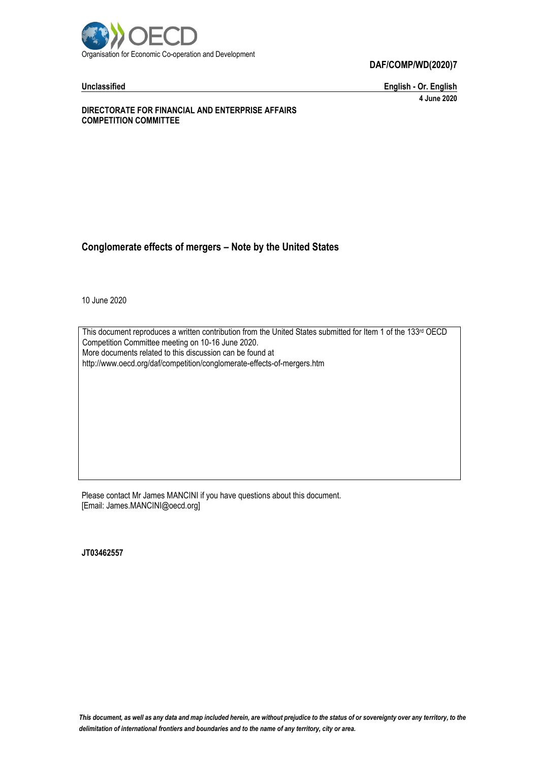

#### **DAF/COMP/WD(2020)7**

**Unclassified English - Or. English 4 June 2020**

**DIRECTORATE FOR FINANCIAL AND ENTERPRISE AFFAIRS COMPETITION COMMITTEE**

#### **Conglomerate effects of mergers – Note by the United States**

10 June 2020

This document reproduces a written contribution from the United States submitted for Item 1 of the 133<sup>rd</sup> OECD Competition Committee meeting on 10-16 June 2020. More documents related to this discussion can be found at http://www.oecd.org/daf/competition/conglomerate-effects-of-mergers.htm

Please contact Mr James MANCINI if you have questions about this document. [Email: James.MANCINI@oecd.org]

**JT03462557**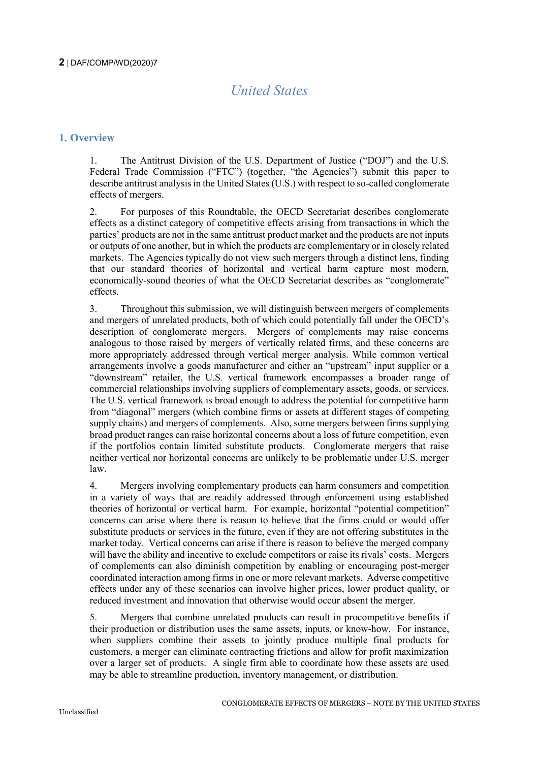# *United States*

# **1. Overview**

1. The Antitrust Division of the U.S. Department of Justice ("DOJ") and the U.S. Federal Trade Commission ("FTC") (together, "the Agencies") submit this paper to describe antitrust analysis in the United States (U.S.) with respect to so-called conglomerate effects of mergers.

2. For purposes of this Roundtable, the OECD Secretariat describes conglomerate effects as a distinct category of competitive effects arising from transactions in which the parties' products are not in the same antitrust product market and the products are not inputs or outputs of one another, but in which the products are complementary or in closely related markets. The Agencies typically do not view such mergers through a distinct lens, finding that our standard theories of horizontal and vertical harm capture most modern, economically-sound theories of what the OECD Secretariat describes as "conglomerate" effects.

3. Throughout this submission, we will distinguish between mergers of complements and mergers of unrelated products, both of which could potentially fall under the OECD's description of conglomerate mergers. Mergers of complements may raise concerns analogous to those raised by mergers of vertically related firms, and these concerns are more appropriately addressed through vertical merger analysis. While common vertical arrangements involve a goods manufacturer and either an "upstream" input supplier or a "downstream" retailer, the U.S. vertical framework encompasses a broader range of commercial relationships involving suppliers of complementary assets, goods, or services. The U.S. vertical framework is broad enough to address the potential for competitive harm from "diagonal" mergers (which combine firms or assets at different stages of competing supply chains) and mergers of complements. Also, some mergers between firms supplying broad product ranges can raise horizontal concerns about a loss of future competition, even if the portfolios contain limited substitute products. Conglomerate mergers that raise neither vertical nor horizontal concerns are unlikely to be problematic under U.S. merger law.

4. Mergers involving complementary products can harm consumers and competition in a variety of ways that are readily addressed through enforcement using established theories of horizontal or vertical harm. For example, horizontal "potential competition" concerns can arise where there is reason to believe that the firms could or would offer substitute products or services in the future, even if they are not offering substitutes in the market today. Vertical concerns can arise if there is reason to believe the merged company will have the ability and incentive to exclude competitors or raise its rivals' costs. Mergers of complements can also diminish competition by enabling or encouraging post-merger coordinated interaction among firms in one or more relevant markets. Adverse competitive effects under any of these scenarios can involve higher prices, lower product quality, or reduced investment and innovation that otherwise would occur absent the merger.

5. Mergers that combine unrelated products can result in procompetitive benefits if their production or distribution uses the same assets, inputs, or know-how. For instance, when suppliers combine their assets to jointly produce multiple final products for customers, a merger can eliminate contracting frictions and allow for profit maximization over a larger set of products. A single firm able to coordinate how these assets are used may be able to streamline production, inventory management, or distribution.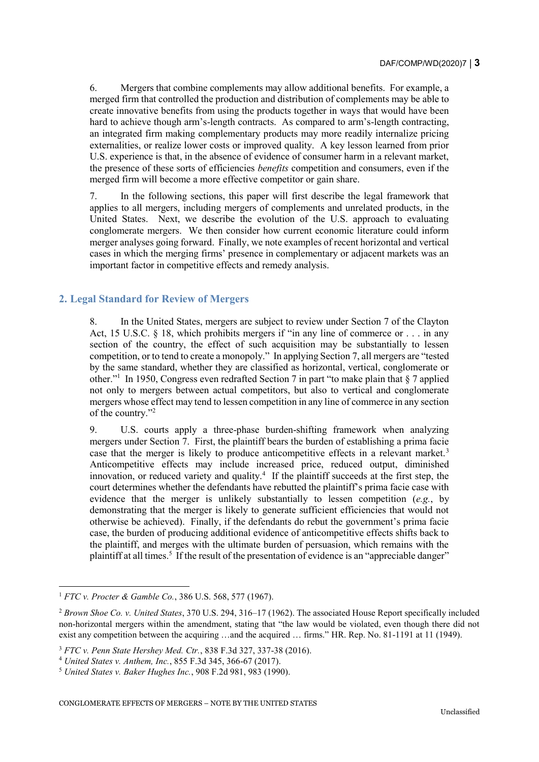6. Mergers that combine complements may allow additional benefits. For example, a merged firm that controlled the production and distribution of complements may be able to create innovative benefits from using the products together in ways that would have been hard to achieve though arm's-length contracts. As compared to arm's-length contracting, an integrated firm making complementary products may more readily internalize pricing externalities, or realize lower costs or improved quality. A key lesson learned from prior U.S. experience is that, in the absence of evidence of consumer harm in a relevant market, the presence of these sorts of efficiencies *benefits* competition and consumers, even if the merged firm will become a more effective competitor or gain share.

7. In the following sections, this paper will first describe the legal framework that applies to all mergers, including mergers of complements and unrelated products, in the United States. Next, we describe the evolution of the U.S. approach to evaluating conglomerate mergers. We then consider how current economic literature could inform merger analyses going forward. Finally, we note examples of recent horizontal and vertical cases in which the merging firms' presence in complementary or adjacent markets was an important factor in competitive effects and remedy analysis.

# **2. Legal Standard for Review of Mergers**

8. In the United States, mergers are subject to review under Section 7 of the Clayton Act, 15 U.S.C. § 18, which prohibits mergers if "in any line of commerce or . . . in any section of the country, the effect of such acquisition may be substantially to lessen competition, or to tend to create a monopoly." In applying Section 7, all mergers are "tested by the same standard, whether they are classified as horizontal, vertical, conglomerate or other."<sup>1</sup> In 1950, Congress even redrafted Section 7 in part "to make plain that § 7 applied not only to mergers between actual competitors, but also to vertical and conglomerate mergers whose effect may tend to lessen competition in any line of commerce in any section of the country."<sup>2</sup>

9. U.S. courts apply a three-phase burden-shifting framework when analyzing mergers under Section 7. First, the plaintiff bears the burden of establishing a prima facie case that the merger is likely to produce anticompetitive effects in a relevant market.<sup>3</sup> Anticompetitive effects may include increased price, reduced output, diminished innovation, or reduced variety and quality.<sup>4</sup> If the plaintiff succeeds at the first step, the court determines whether the defendants have rebutted the plaintiff's prima facie case with evidence that the merger is unlikely substantially to lessen competition (*e.g.*, by demonstrating that the merger is likely to generate sufficient efficiencies that would not otherwise be achieved). Finally, if the defendants do rebut the government's prima facie case, the burden of producing additional evidence of anticompetitive effects shifts back to the plaintiff, and merges with the ultimate burden of persuasion, which remains with the plaintiff at all times.<sup>5</sup> If the result of the presentation of evidence is an "appreciable danger"

<sup>-</sup><sup>1</sup> *FTC v. Procter & Gamble Co.*, 386 U.S. 568, 577 (1967).

<sup>2</sup> *Brown Shoe Co. v. United States*, 370 U.S. 294, 316–17 (1962). The associated House Report specifically included non-horizontal mergers within the amendment, stating that "the law would be violated, even though there did not exist any competition between the acquiring …and the acquired … firms." HR. Rep. No. 81-1191 at 11 (1949).

<sup>3</sup> *FTC v. Penn State Hershey Med. Ctr.*, 838 F.3d 327, 337-38 (2016).

<sup>4</sup> *United States v. Anthem, Inc.*, 855 F.3d 345, 366-67 (2017).

<sup>5</sup> *United States v. Baker Hughes Inc.*, 908 F.2d 981, 983 (1990).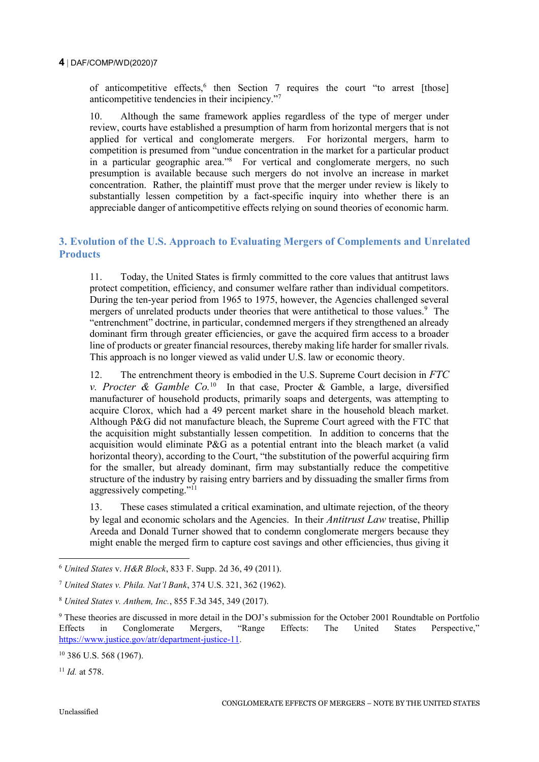of anticompetitive effects,<sup>6</sup> then Section 7 requires the court "to arrest [those] anticompetitive tendencies in their incipiency."<sup>7</sup>

10. Although the same framework applies regardless of the type of merger under review, courts have established a presumption of harm from horizontal mergers that is not applied for vertical and conglomerate mergers. For horizontal mergers, harm to competition is presumed from "undue concentration in the market for a particular product in a particular geographic area."<sup>8</sup> For vertical and conglomerate mergers, no such presumption is available because such mergers do not involve an increase in market concentration. Rather, the plaintiff must prove that the merger under review is likely to substantially lessen competition by a fact-specific inquiry into whether there is an appreciable danger of anticompetitive effects relying on sound theories of economic harm.

# **3. Evolution of the U.S. Approach to Evaluating Mergers of Complements and Unrelated Products**

11. Today, the United States is firmly committed to the core values that antitrust laws protect competition, efficiency, and consumer welfare rather than individual competitors. During the ten-year period from 1965 to 1975, however, the Agencies challenged several mergers of unrelated products under theories that were antithetical to those values.<sup>9</sup> The "entrenchment" doctrine, in particular, condemned mergers if they strengthened an already dominant firm through greater efficiencies, or gave the acquired firm access to a broader line of products or greater financial resources, thereby making life harder for smaller rivals. This approach is no longer viewed as valid under U.S. law or economic theory.

12. The entrenchment theory is embodied in the U.S. Supreme Court decision in *FTC v. Procter & Gamble Co.*<sup>10</sup> In that case, Procter & Gamble, a large, diversified manufacturer of household products, primarily soaps and detergents, was attempting to acquire Clorox, which had a 49 percent market share in the household bleach market. Although P&G did not manufacture bleach, the Supreme Court agreed with the FTC that the acquisition might substantially lessen competition. In addition to concerns that the acquisition would eliminate P&G as a potential entrant into the bleach market (a valid horizontal theory), according to the Court, "the substitution of the powerful acquiring firm for the smaller, but already dominant, firm may substantially reduce the competitive structure of the industry by raising entry barriers and by dissuading the smaller firms from aggressively competing."<sup>11</sup>

13. These cases stimulated a critical examination, and ultimate rejection, of the theory by legal and economic scholars and the Agencies. In their *Antitrust Law* treatise, Phillip Areeda and Donald Turner showed that to condemn conglomerate mergers because they might enable the merged firm to capture cost savings and other efficiencies, thus giving it

<sup>6</sup> *United States* v. *H&R Block*, 833 F. Supp. 2d 36, 49 (2011).

<sup>7</sup> *United States v. Phila. Nat'l Bank*, 374 U.S. 321, 362 (1962).

<sup>8</sup> *United States v. Anthem, Inc.*, 855 F.3d 345, 349 (2017).

<sup>9</sup> These theories are discussed in more detail in the DOJ's submission for the October 2001 Roundtable on Portfolio Effects in Conglomerate Mergers, "Range Effects: The United States Perspective," [https://www.justice.gov/atr/department-justice-11.](https://www.justice.gov/atr/department-justice-11)

<sup>10</sup> 386 U.S. 568 (1967).

<sup>11</sup> *Id.* at 578.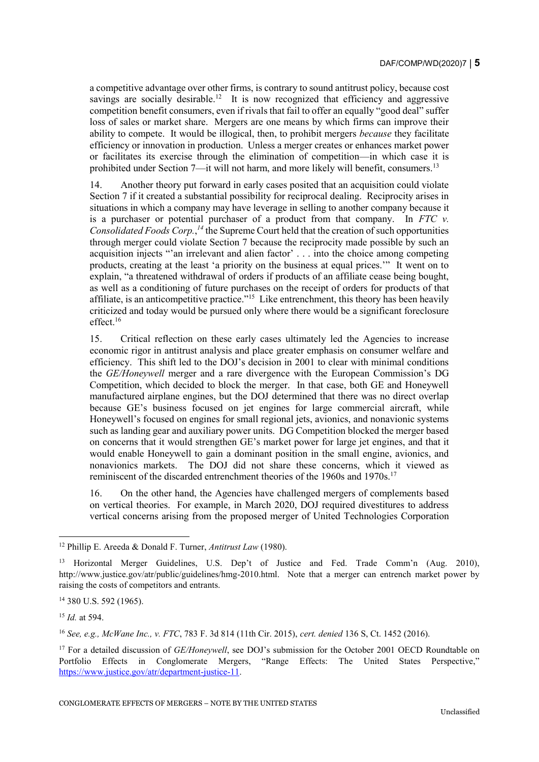a competitive advantage over other firms, is contrary to sound antitrust policy, because cost savings are socially desirable.<sup>12</sup> It is now recognized that efficiency and aggressive competition benefit consumers, even if rivals that fail to offer an equally "good deal" suffer loss of sales or market share. Mergers are one means by which firms can improve their ability to compete. It would be illogical, then, to prohibit mergers *because* they facilitate efficiency or innovation in production. Unless a merger creates or enhances market power or facilitates its exercise through the elimination of competition—in which case it is prohibited under Section 7—it will not harm, and more likely will benefit, consumers.<sup>13</sup>

14. Another theory put forward in early cases posited that an acquisition could violate Section 7 if it created a substantial possibility for reciprocal dealing. Reciprocity arises in situations in which a company may have leverage in selling to another company because it is a purchaser or potential purchaser of a product from that company. In *FTC v. Consolidated Foods Corp.*, *<sup>14</sup>* the Supreme Court held that the creation of such opportunities through merger could violate Section 7 because the reciprocity made possible by such an acquisition injects "'an irrelevant and alien factor' . . . into the choice among competing products, creating at the least 'a priority on the business at equal prices.'" It went on to explain, "a threatened withdrawal of orders if products of an affiliate cease being bought, as well as a conditioning of future purchases on the receipt of orders for products of that affiliate, is an anticompetitive practice."<sup>15</sup> Like entrenchment, this theory has been heavily criticized and today would be pursued only where there would be a significant foreclosure effect. $16$ 

15. Critical reflection on these early cases ultimately led the Agencies to increase economic rigor in antitrust analysis and place greater emphasis on consumer welfare and efficiency. This shift led to the DOJ's decision in 2001 to clear with minimal conditions the *GE/Honeywell* merger and a rare divergence with the European Commission's DG Competition, which decided to block the merger. In that case, both GE and Honeywell manufactured airplane engines, but the DOJ determined that there was no direct overlap because GE's business focused on jet engines for large commercial aircraft, while Honeywell's focused on engines for small regional jets, avionics, and nonavionic systems such as landing gear and auxiliary power units. DG Competition blocked the merger based on concerns that it would strengthen GE's market power for large jet engines, and that it would enable Honeywell to gain a dominant position in the small engine, avionics, and nonavionics markets. The DOJ did not share these concerns, which it viewed as reminiscent of the discarded entrenchment theories of the 1960s and 1970s.<sup>17</sup>

16. On the other hand, the Agencies have challenged mergers of complements based on vertical theories. For example, in March 2020, DOJ required divestitures to address vertical concerns arising from the proposed merger of United Technologies Corporation

-

<sup>16</sup> *See, e.g., McWane Inc., v. FTC*, 783 F. 3d 814 (11th Cir. 2015), *cert. denied* 136 S, Ct. 1452 (2016).

<sup>12</sup> Phillip E. Areeda & Donald F. Turner, *Antitrust Law* (1980).

<sup>13</sup> Horizontal Merger Guidelines, U.S. Dep't of Justice and Fed. Trade Comm'n (Aug. 2010), http://www.justice.gov/atr/public/guidelines/hmg-2010.html. Note that a merger can entrench market power by raising the costs of competitors and entrants.

<sup>14</sup> 380 U.S. 592 (1965).

<sup>15</sup> *Id.* at 594.

<sup>&</sup>lt;sup>17</sup> For a detailed discussion of *GE/Honeywell*, see DOJ's submission for the October 2001 OECD Roundtable on Portfolio Effects in Conglomerate Mergers, "Range Effects: The United States Perspective," [https://www.justice.gov/atr/department-justice-11.](https://www.justice.gov/atr/department-justice-11)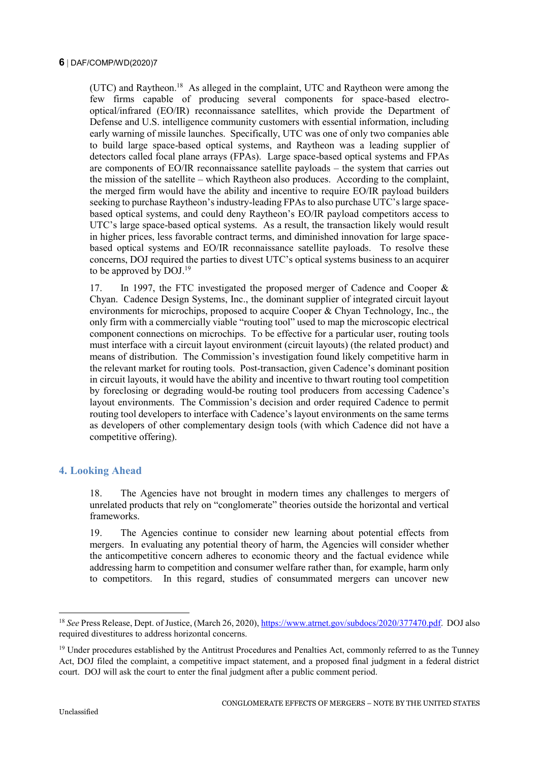(UTC) and Raytheon.<sup>18</sup> As alleged in the complaint, UTC and Raytheon were among the few firms capable of producing several components for space-based electrooptical/infrared (EO/IR) reconnaissance satellites, which provide the Department of Defense and U.S. intelligence community customers with essential information, including early warning of missile launches. Specifically, UTC was one of only two companies able to build large space-based optical systems, and Raytheon was a leading supplier of detectors called focal plane arrays (FPAs). Large space-based optical systems and FPAs are components of EO/IR reconnaissance satellite payloads – the system that carries out the mission of the satellite – which Raytheon also produces. According to the complaint, the merged firm would have the ability and incentive to require EO/IR payload builders seeking to purchase Raytheon's industry-leading FPAs to also purchase UTC's large spacebased optical systems, and could deny Raytheon's EO/IR payload competitors access to UTC's large space-based optical systems. As a result, the transaction likely would result in higher prices, less favorable contract terms, and diminished innovation for large spacebased optical systems and EO/IR reconnaissance satellite payloads. To resolve these concerns, DOJ required the parties to divest UTC's optical systems business to an acquirer to be approved by DOJ.<sup>19</sup>

17. In 1997, the FTC investigated the proposed merger of Cadence and Cooper & Chyan. Cadence Design Systems, Inc., the dominant supplier of integrated circuit layout environments for microchips, proposed to acquire Cooper & Chyan Technology, Inc., the only firm with a commercially viable "routing tool" used to map the microscopic electrical component connections on microchips. To be effective for a particular user, routing tools must interface with a circuit layout environment (circuit layouts) (the related product) and means of distribution. The Commission's investigation found likely competitive harm in the relevant market for routing tools. Post-transaction, given Cadence's dominant position in circuit layouts, it would have the ability and incentive to thwart routing tool competition by foreclosing or degrading would-be routing tool producers from accessing Cadence's layout environments. The Commission's decision and order required Cadence to permit routing tool developers to interface with Cadence's layout environments on the same terms as developers of other complementary design tools (with which Cadence did not have a competitive offering).

### **4. Looking Ahead**

18. The Agencies have not brought in modern times any challenges to mergers of unrelated products that rely on "conglomerate" theories outside the horizontal and vertical frameworks.

19. The Agencies continue to consider new learning about potential effects from mergers. In evaluating any potential theory of harm, the Agencies will consider whether the anticompetitive concern adheres to economic theory and the factual evidence while addressing harm to competition and consumer welfare rather than, for example, harm only to competitors. In this regard, studies of consummated mergers can uncover new

j

<sup>&</sup>lt;sup>18</sup> See Press Release, Dept. of Justice, (March 26, 2020)[, https://www.atrnet.gov/subdocs/2020/377470.pdf.](https://www.atrnet.gov/subdocs/2020/377470.pdf) DOJ also required divestitures to address horizontal concerns.

<sup>&</sup>lt;sup>19</sup> Under procedures established by the Antitrust Procedures and Penalties Act, commonly referred to as the Tunney Act, DOJ filed the complaint, a competitive impact statement, and a proposed final judgment in a federal district court. DOJ will ask the court to enter the final judgment after a public comment period.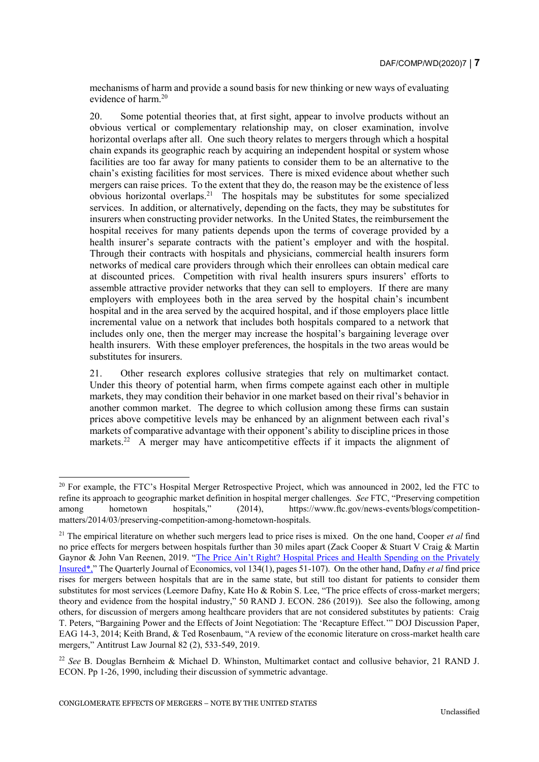mechanisms of harm and provide a sound basis for new thinking or new ways of evaluating evidence of harm.<sup>20</sup>

20. Some potential theories that, at first sight, appear to involve products without an obvious vertical or complementary relationship may, on closer examination, involve horizontal overlaps after all. One such theory relates to mergers through which a hospital chain expands its geographic reach by acquiring an independent hospital or system whose facilities are too far away for many patients to consider them to be an alternative to the chain's existing facilities for most services. There is mixed evidence about whether such mergers can raise prices. To the extent that they do, the reason may be the existence of less obvious horizontal overlaps.<sup>21</sup> The hospitals may be substitutes for some specialized services. In addition, or alternatively, depending on the facts, they may be substitutes for insurers when constructing provider networks. In the United States, the reimbursement the hospital receives for many patients depends upon the terms of coverage provided by a health insurer's separate contracts with the patient's employer and with the hospital. Through their contracts with hospitals and physicians, commercial health insurers form networks of medical care providers through which their enrollees can obtain medical care at discounted prices. Competition with rival health insurers spurs insurers' efforts to assemble attractive provider networks that they can sell to employers. If there are many employers with employees both in the area served by the hospital chain's incumbent hospital and in the area served by the acquired hospital, and if those employers place little incremental value on a network that includes both hospitals compared to a network that includes only one, then the merger may increase the hospital's bargaining leverage over health insurers. With these employer preferences, the hospitals in the two areas would be substitutes for insurers.

21. Other research explores collusive strategies that rely on multimarket contact. Under this theory of potential harm, when firms compete against each other in multiple markets, they may condition their behavior in one market based on their rival's behavior in another common market. The degree to which collusion among these firms can sustain prices above competitive levels may be enhanced by an alignment between each rival's markets of comparative advantage with their opponent's ability to discipline prices in those markets.<sup>22</sup> A merger may have anticompetitive effects if it impacts the alignment of

<sup>&</sup>lt;sup>20</sup> For example, the FTC's Hospital Merger Retrospective Project, which was announced in 2002, led the FTC to refine its approach to geographic market definition in hospital merger challenges. *See* FTC, "Preserving competition among hometown hospitals," (2014), https://www.ftc.gov/news-events/blogs/competitionamong hometown hospitals," (2014), https://www.ftc.gov/news-events/blogs/competitionmatters/2014/03/preserving-competition-among-hometown-hospitals.

<sup>21</sup> The empirical literature on whether such mergers lead to price rises is mixed. On the one hand, Cooper *et al* find no price effects for mergers between hospitals further than 30 miles apart (Zack Cooper & Stuart V Craig & Martin Gaynor & John Van Reenen, 2019. ["The Price Ain't Right? Hospital Prices and Health Spending on the Privately](http://doi.org/10.1093/qje/qjy020)  [Insured\\*,"](http://doi.org/10.1093/qje/qjy020) The Quarterly Journal of Economics, vol 134(1), pages 51-107). On the other hand, Dafny *et al* find price rises for mergers between hospitals that are in the same state, but still too distant for patients to consider them substitutes for most services (Leemore Dafny, Kate Ho & Robin S. Lee, "The price effects of cross-market mergers; theory and evidence from the hospital industry," 50 RAND J. ECON. 286 (2019)). See also the following, among others, for discussion of mergers among healthcare providers that are not considered substitutes by patients: Craig T. Peters, "Bargaining Power and the Effects of Joint Negotiation: The 'Recapture Effect.'" DOJ Discussion Paper, EAG 14-3, 2014; Keith Brand, & Ted Rosenbaum, "A review of the economic literature on cross-market health care mergers," Antitrust Law Journal 82 (2), 533-549, 2019.

<sup>22</sup> *See* B. Douglas Bernheim & Michael D. Whinston, Multimarket contact and collusive behavior, 21 RAND J. ECON. Pp 1-26, 1990, including their discussion of symmetric advantage.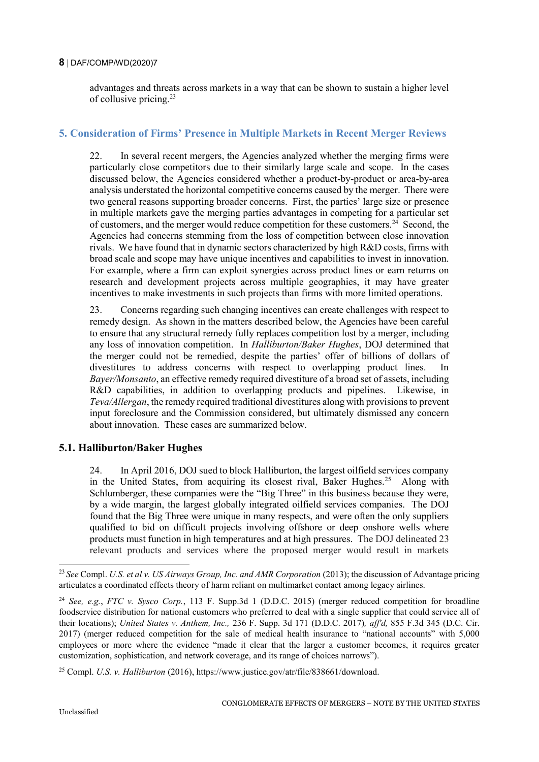#### **8** DAF/COMP/WD(2020)7

advantages and threats across markets in a way that can be shown to sustain a higher level of collusive pricing.<sup>23</sup>

## **5. Consideration of Firms' Presence in Multiple Markets in Recent Merger Reviews**

22. In several recent mergers, the Agencies analyzed whether the merging firms were particularly close competitors due to their similarly large scale and scope. In the cases discussed below, the Agencies considered whether a product-by-product or area-by-area analysis understated the horizontal competitive concerns caused by the merger. There were two general reasons supporting broader concerns. First, the parties' large size or presence in multiple markets gave the merging parties advantages in competing for a particular set of customers, and the merger would reduce competition for these customers.<sup>24</sup> Second, the Agencies had concerns stemming from the loss of competition between close innovation rivals. We have found that in dynamic sectors characterized by high R&D costs, firms with broad scale and scope may have unique incentives and capabilities to invest in innovation. For example, where a firm can exploit synergies across product lines or earn returns on research and development projects across multiple geographies, it may have greater incentives to make investments in such projects than firms with more limited operations.

23. Concerns regarding such changing incentives can create challenges with respect to remedy design. As shown in the matters described below, the Agencies have been careful to ensure that any structural remedy fully replaces competition lost by a merger, including any loss of innovation competition. In *Halliburton/Baker Hughes*, DOJ determined that the merger could not be remedied, despite the parties' offer of billions of dollars of divestitures to address concerns with respect to overlapping product lines. In *Bayer/Monsanto*, an effective remedy required divestiture of a broad set of assets, including R&D capabilities, in addition to overlapping products and pipelines. Likewise, in *Teva/Allergan*, the remedy required traditional divestitures along with provisions to prevent input foreclosure and the Commission considered, but ultimately dismissed any concern about innovation. These cases are summarized below.

### **5.1. Halliburton/Baker Hughes**

24. In April 2016, DOJ sued to block Halliburton, the largest oilfield services company in the United States, from acquiring its closest rival, Baker Hughes.<sup>25</sup> Along with Schlumberger, these companies were the "Big Three" in this business because they were, by a wide margin, the largest globally integrated oilfield services companies. The DOJ found that the Big Three were unique in many respects, and were often the only suppliers qualified to bid on difficult projects involving offshore or deep onshore wells where products must function in high temperatures and at high pressures. The DOJ delineated 23 relevant products and services where the proposed merger would result in markets

<sup>23</sup> *See* Compl. *U.S. et al v. US Airways Group, Inc. and AMR Corporation* (2013); the discussion of Advantage pricing articulates a coordinated effects theory of harm reliant on multimarket contact among legacy airlines.

<sup>24</sup> *See, e.g.*, *FTC v. Sysco Corp.*, 113 F. Supp.3d 1 (D.D.C. 2015) (merger reduced competition for broadline foodservice distribution for national customers who preferred to deal with a single supplier that could service all of their locations); *United States v. Anthem, Inc.,* 236 F. Supp. 3d 171 (D.D.C. 2017)*, aff'd,* 855 F.3d 345 (D.C. Cir. 2017) (merger reduced competition for the sale of medical health insurance to "national accounts" with 5,000 employees or more where the evidence "made it clear that the larger a customer becomes, it requires greater customization, sophistication, and network coverage, and its range of choices narrows").

<sup>25</sup> Compl. *U.S. v. Halliburton* (2016), https://www.justice.gov/atr/file/838661/download.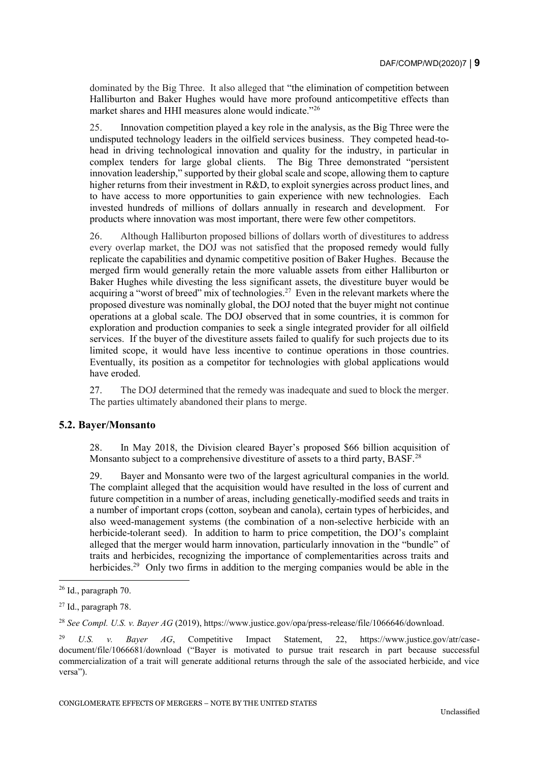dominated by the Big Three. It also alleged that "the elimination of competition between Halliburton and Baker Hughes would have more profound anticompetitive effects than market shares and HHI measures alone would indicate."<sup>26</sup>

25. Innovation competition played a key role in the analysis, as the Big Three were the undisputed technology leaders in the oilfield services business. They competed head-tohead in driving technological innovation and quality for the industry, in particular in complex tenders for large global clients. The Big Three demonstrated "persistent innovation leadership," supported by their global scale and scope, allowing them to capture higher returns from their investment in R&D, to exploit synergies across product lines, and to have access to more opportunities to gain experience with new technologies. Each invested hundreds of millions of dollars annually in research and development. For products where innovation was most important, there were few other competitors.

26. Although Halliburton proposed billions of dollars worth of divestitures to address every overlap market, the DOJ was not satisfied that the proposed remedy would fully replicate the capabilities and dynamic competitive position of Baker Hughes. Because the merged firm would generally retain the more valuable assets from either Halliburton or Baker Hughes while divesting the less significant assets, the divestiture buyer would be acquiring a "worst of breed" mix of technologies.<sup>27</sup> Even in the relevant markets where the proposed divesture was nominally global, the DOJ noted that the buyer might not continue operations at a global scale. The DOJ observed that in some countries, it is common for exploration and production companies to seek a single integrated provider for all oilfield services. If the buyer of the divestiture assets failed to qualify for such projects due to its limited scope, it would have less incentive to continue operations in those countries. Eventually, its position as a competitor for technologies with global applications would have eroded.

27. The DOJ determined that the remedy was inadequate and sued to block the merger. The parties ultimately abandoned their plans to merge.

#### **5.2. Bayer/Monsanto**

28. In May 2018, the Division cleared Bayer's proposed \$66 billion acquisition of Monsanto subject to a comprehensive divestiture of assets to a third party, BASF.<sup>28</sup>

29. Bayer and Monsanto were two of the largest agricultural companies in the world. The complaint alleged that the acquisition would have resulted in the loss of current and future competition in a number of areas, including genetically-modified seeds and traits in a number of important crops (cotton, soybean and canola), certain types of herbicides, and also weed-management systems (the combination of a non-selective herbicide with an herbicide-tolerant seed). In addition to harm to price competition, the DOJ's complaint alleged that the merger would harm innovation, particularly innovation in the "bundle" of traits and herbicides, recognizing the importance of complementarities across traits and herbicides.<sup>29</sup> Only two firms in addition to the merging companies would be able in the

<sup>26</sup> Id., paragraph 70.

<sup>27</sup> Id., paragraph 78.

<sup>28</sup> *See Compl. U.S. v. Bayer AG* (2019), https://www.justice.gov/opa/press-release/file/1066646/download.

<sup>29</sup> *U.S. v. Bayer AG*, Competitive Impact Statement, 22, https://www.justice.gov/atr/casedocument/file/1066681/download ("Bayer is motivated to pursue trait research in part because successful commercialization of a trait will generate additional returns through the sale of the associated herbicide, and vice versa").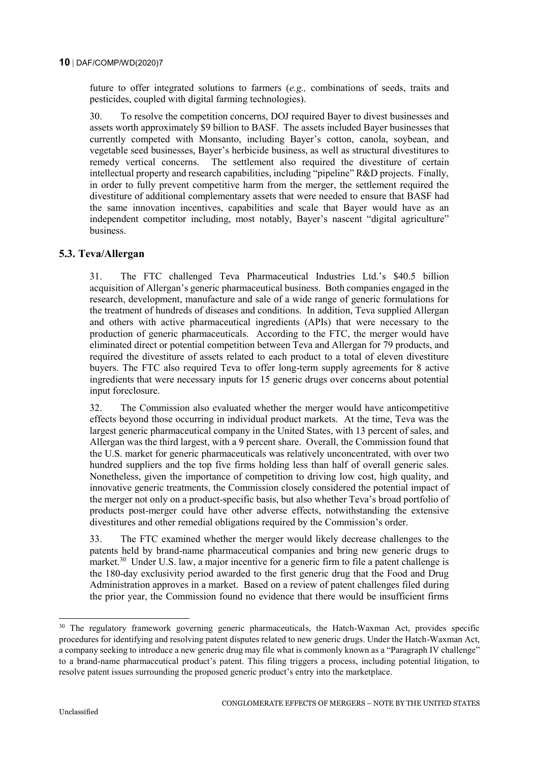future to offer integrated solutions to farmers (*e.g.,* combinations of seeds, traits and pesticides, coupled with digital farming technologies).

30. To resolve the competition concerns, DOJ required Bayer to divest businesses and assets worth approximately \$9 billion to BASF. The assets included Bayer businesses that currently competed with Monsanto, including Bayer's cotton, canola, soybean, and vegetable seed businesses, Bayer's herbicide business, as well as structural divestitures to remedy vertical concerns. The settlement also required the divestiture of certain intellectual property and research capabilities, including "pipeline" R&D projects. Finally, in order to fully prevent competitive harm from the merger, the settlement required the divestiture of additional complementary assets that were needed to ensure that BASF had the same innovation incentives, capabilities and scale that Bayer would have as an independent competitor including, most notably, Bayer's nascent "digital agriculture" business.

# **5.3. Teva/Allergan**

31. The FTC challenged Teva Pharmaceutical Industries Ltd.'s \$40.5 billion acquisition of Allergan's generic pharmaceutical business. Both companies engaged in the research, development, manufacture and sale of a wide range of generic formulations for the treatment of hundreds of diseases and conditions. In addition, Teva supplied Allergan and others with active pharmaceutical ingredients (APIs) that were necessary to the production of generic pharmaceuticals. According to the FTC, the merger would have eliminated direct or potential competition between Teva and Allergan for 79 products, and required the divestiture of assets related to each product to a total of eleven divestiture buyers. The FTC also required Teva to offer long-term supply agreements for 8 active ingredients that were necessary inputs for 15 generic drugs over concerns about potential input foreclosure.

32. The Commission also evaluated whether the merger would have anticompetitive effects beyond those occurring in individual product markets. At the time, Teva was the largest generic pharmaceutical company in the United States, with 13 percent of sales, and Allergan was the third largest, with a 9 percent share. Overall, the Commission found that the U.S. market for generic pharmaceuticals was relatively unconcentrated, with over two hundred suppliers and the top five firms holding less than half of overall generic sales. Nonetheless, given the importance of competition to driving low cost, high quality, and innovative generic treatments, the Commission closely considered the potential impact of the merger not only on a product-specific basis, but also whether Teva's broad portfolio of products post-merger could have other adverse effects, notwithstanding the extensive divestitures and other remedial obligations required by the Commission's order.

33. The FTC examined whether the merger would likely decrease challenges to the patents held by brand-name pharmaceutical companies and bring new generic drugs to market.<sup>30</sup> Under U.S. law, a major incentive for a generic firm to file a patent challenge is the 180-day exclusivity period awarded to the first generic drug that the Food and Drug Administration approves in a market. Based on a review of patent challenges filed during the prior year, the Commission found no evidence that there would be insufficient firms

j

<sup>&</sup>lt;sup>30</sup> The regulatory framework governing generic pharmaceuticals, the Hatch-Waxman Act, provides specific procedures for identifying and resolving patent disputes related to new generic drugs. Under the Hatch-Waxman Act, a company seeking to introduce a new generic drug may file what is commonly known as a "Paragraph IV challenge" to a brand-name pharmaceutical product's patent. This filing triggers a process, including potential litigation, to resolve patent issues surrounding the proposed generic product's entry into the marketplace.